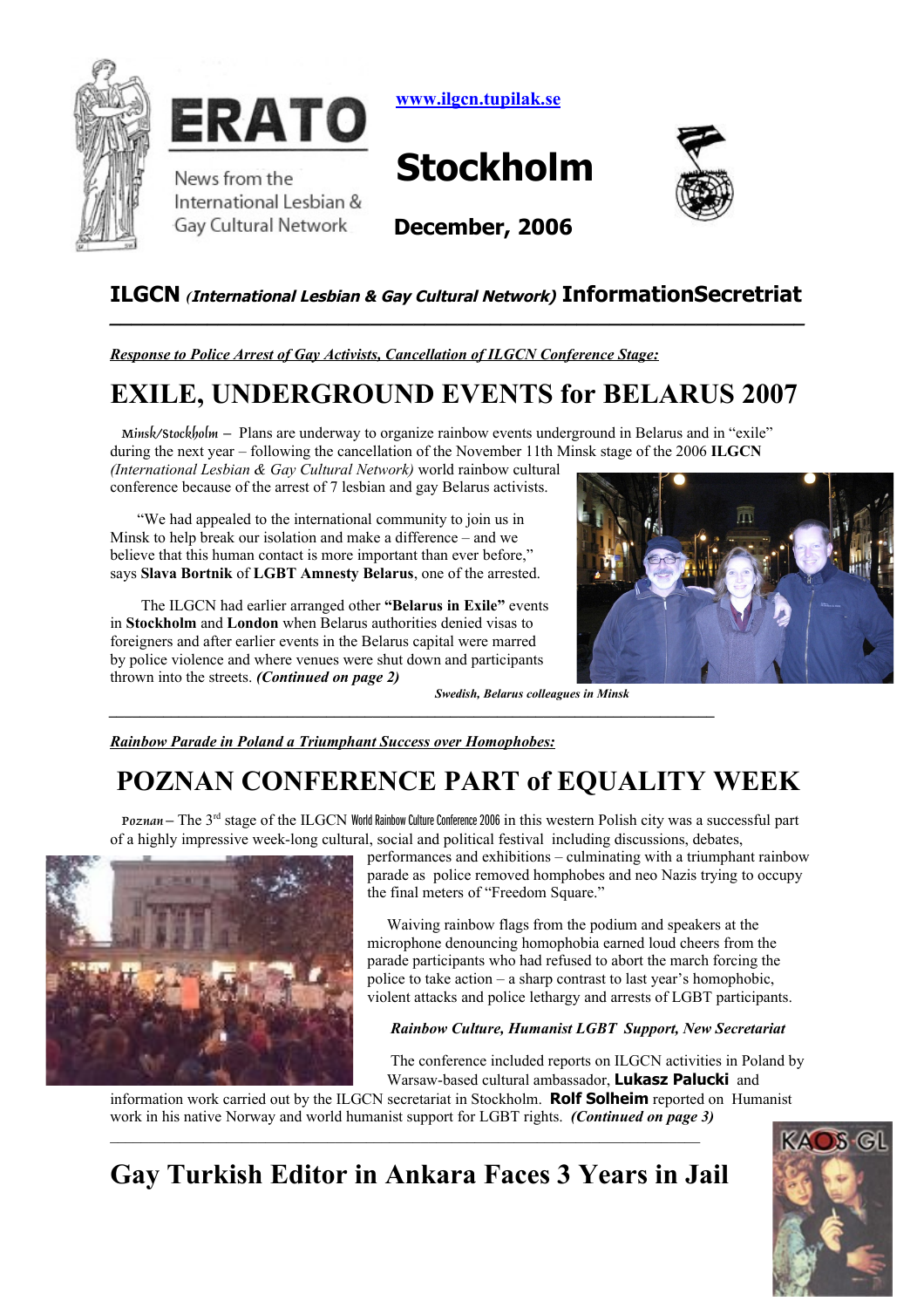



International Lesbian & **Gay Cultural Network** 

 **[www.ilgcn.tupilak.se](http://www.ilgcn.tupilak.se/)**

# **Stockholm**



**December, 2006**

### **ILGCN** *(***International Lesbian & Gay Cultural Network) InformationSecretriat**

*Response to Police Arrest of Gay Activists, Cancellation of ILGCN Conference Stage:*

## **EXILE, UNDERGROUND EVENTS for BELARUS 2007**

*Minsk/Stockholm* **–** Plans are underway to organize rainbow events underground in Belarus and in "exile" during the next year – following the cancellation of the November 11th Minsk stage of the 2006 **ILGCN**

*(International Lesbian & Gay Cultural Network)* world rainbow cultural conference because of the arrest of 7 lesbian and gay Belarus activists.

 "We had appealed to the international community to join us in Minsk to help break our isolation and make a difference – and we believe that this human contact is more important than ever before," says **Slava Bortnik** of **LGBT Amnesty Belarus**, one of the arrested.

 The ILGCN had earlier arranged other **"Belarus in Exile"** events in **Stockholm** and **London** when Belarus authorities denied visas to foreigners and after earlier events in the Belarus capital were marred by police violence and where venues were shut down and participants thrown into the streets. *(Continued on page 2)* 

 *Swedish, Belarus colleagues in Minsk*

*Rainbow Parade in Poland a Triumphant Success over Homophobes:*

## **POZNAN CONFERENCE PART of EQUALITY WEEK**

*Poznan* **–** The 3rd stage of the ILGCN World Rainbow Culture Conference 2006 in this western Polish city was a successful part of a highly impressive week-long cultural, social and political festival including discussions, debates,



performances and exhibitions – culminating with a triumphant rainbow parade as police removed homphobes and neo Nazis trying to occupy the final meters of "Freedom Square."

 Waiving rainbow flags from the podium and speakers at the microphone denouncing homophobia earned loud cheers from the parade participants who had refused to abort the march forcing the police to take action – a sharp contrast to last year's homophobic, violent attacks and police lethargy and arrests of LGBT participants.

#### *Rainbow Culture, Humanist LGBT Support, New Secretariat*

 The conference included reports on ILGCN activities in Poland by Warsaw-based cultural ambassador, **Lukasz Palucki** and

information work carried out by the ILGCN secretariat in Stockholm. **Rolf Solheim** reported on Humanist work in his native Norway and world humanist support for LGBT rights. *(Continued on page 3)*  $\mathcal{L}_\mathcal{L} = \{ \mathcal{L}_\mathcal{L} = \{ \mathcal{L}_\mathcal{L} = \{ \mathcal{L}_\mathcal{L} = \{ \mathcal{L}_\mathcal{L} = \{ \mathcal{L}_\mathcal{L} = \{ \mathcal{L}_\mathcal{L} = \{ \mathcal{L}_\mathcal{L} = \{ \mathcal{L}_\mathcal{L} = \{ \mathcal{L}_\mathcal{L} = \{ \mathcal{L}_\mathcal{L} = \{ \mathcal{L}_\mathcal{L} = \{ \mathcal{L}_\mathcal{L} = \{ \mathcal{L}_\mathcal{L} = \{ \mathcal{L}_\mathcal{$ 



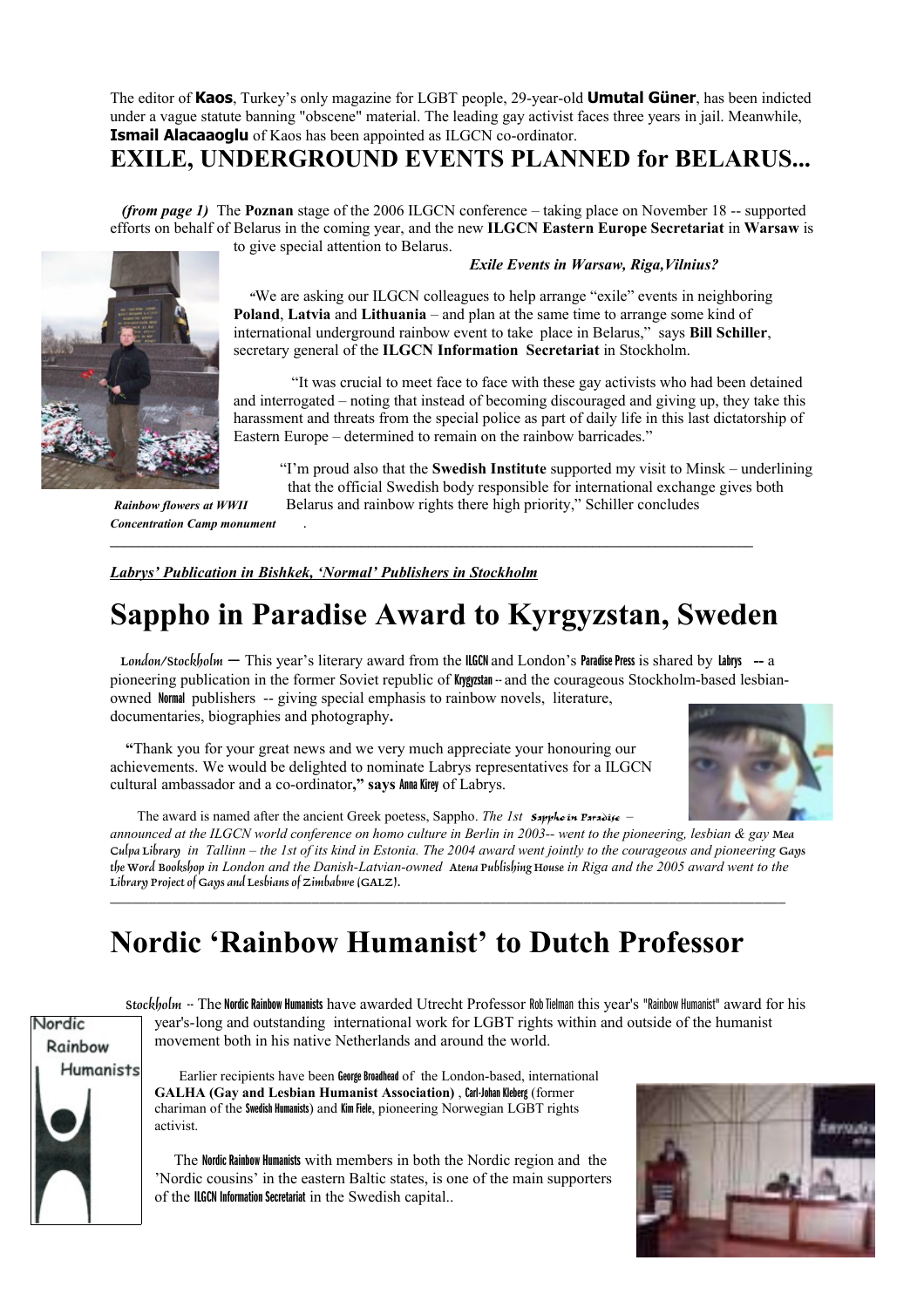The editor of **Kaos**, Turkey's only magazine for LGBT people, 29-year-old **Umutal Güner**, has been indicted under a vague statute banning "obscene" material. The leading gay activist faces three years in jail. Meanwhile, **Ismail Alacaaoglu** of Kaos has been appointed as ILGCN co-ordinator.

### **EXILE, UNDERGROUND EVENTS PLANNED for BELARUS...**

 *(from page 1)* The **Poznan** stage of the 2006 ILGCN conference – taking place on November 18 -- supported efforts on behalf of Belarus in the coming year, and the new **ILGCN Eastern Europe Secretariat** in **Warsaw** is to give special attention to Belarus.



*Concentration Camp monument* .

#### *Exile Events in Warsaw, Riga,Vilnius?*

 *"*We are asking our ILGCN colleagues to help arrange "exile" events in neighboring **Poland**, **Latvia** and **Lithuania** – and plan at the same time to arrange some kind of international underground rainbow event to take place in Belarus," says **Bill Schiller**, secretary general of the **ILGCN Information Secretariat** in Stockholm.

 "It was crucial to meet face to face with these gay activists who had been detained and interrogated – noting that instead of becoming discouraged and giving up, they take this harassment and threats from the special police as part of daily life in this last dictatorship of Eastern Europe – determined to remain on the rainbow barricades."

 "I'm proud also that the **Swedish Institute** supported my visit to Minsk – underlining that the official Swedish body responsible for international exchange gives both *Rainbow flowers at WWII* Belarus and rainbow rights there high priority," Schiller concludes

*Labrys' Publication in Bishkek, 'Normal' Publishers in Stockholm*

## **Sappho in Paradise Award to Kyrgyzstan, Sweden**

**\_\_\_\_\_\_\_\_\_\_\_\_\_\_\_\_\_\_\_\_\_\_\_\_\_\_\_\_\_\_\_\_\_\_\_\_\_\_\_\_\_\_\_\_\_\_\_\_\_\_\_\_\_\_\_\_\_\_\_\_\_\_\_\_\_\_\_\_\_\_\_\_\_\_\_\_\_\_\_\_\_\_\_\_\_\_\_\_\_\_\_\_**

 *London/Stockholm* **–** This year's literary award from the ILGCN and London's Paradise Press is shared by Labrys **--** <sup>a</sup> pioneering publication in the former Soviet republic of Krygyzstan -- and the courageous Stockholm-based lesbianowned Normal publishers -- giving special emphasis to rainbow novels, literature, documentaries, biographies and photography**.**

 **"**Thank you for your great news and we very much appreciate your honouring our achievements. We would be delighted to nominate Labrys representatives for a ILGCN cultural ambassador and a co-ordinator**," says** Anna Kirey of Labrys.



The award is named after the ancient Greek poetess, Sappho. *The 1st Sappho in Paradise–*

*announced at the ILGCN world conference on homo culture in Berlin in 2003-- went to the pioneering, lesbian & gay Mea Culpa Library in Tallinn – the 1st of its kind in Estonia. The 2004 award went jointly to the courageous and pioneering Gays the Word Bookshop in London and the Danish-Latvian-owned Atena Publishing House in Riga and the 2005 award went to the Library Project of Gays and Lesbians of Zimbabwe (GALZ). \_\_\_\_\_\_\_\_\_\_\_\_\_\_\_\_\_\_\_\_\_\_\_\_\_\_\_\_\_\_\_\_\_\_\_\_\_\_\_\_\_\_\_\_\_\_\_\_\_\_\_\_\_\_\_\_\_\_\_\_\_\_\_\_\_\_\_\_\_\_\_\_\_\_\_\_\_\_\_\_\_\_\_\_\_\_\_* 

## **Nordic 'Rainbow Humanist' to Dutch Professor**



 *Stockholm* -- The Nordic Rainbow Humanists have awarded Utrecht Professor Rob Tielman this year's "Rainbow Humanist" award for his year's-long and outstanding international work for LGBT rights within and outside of the humanist movement both in his native Netherlands and around the world.

 Earlier recipients have been George Broadhead of the London-based, international **GALHA (Gay and Lesbian Humanist Association)** , Carl-Johan Kleberg (former chariman of the Swedish Humanists) and Kim Fiele, pioneering Norwegian LGBT rights activist.

 The Nordic Rainbow Humanists with members in both the Nordic region and the 'Nordic cousins' in the eastern Baltic states, is one of the main supporters of the ILGCN Information Secretariat in the Swedish capital..

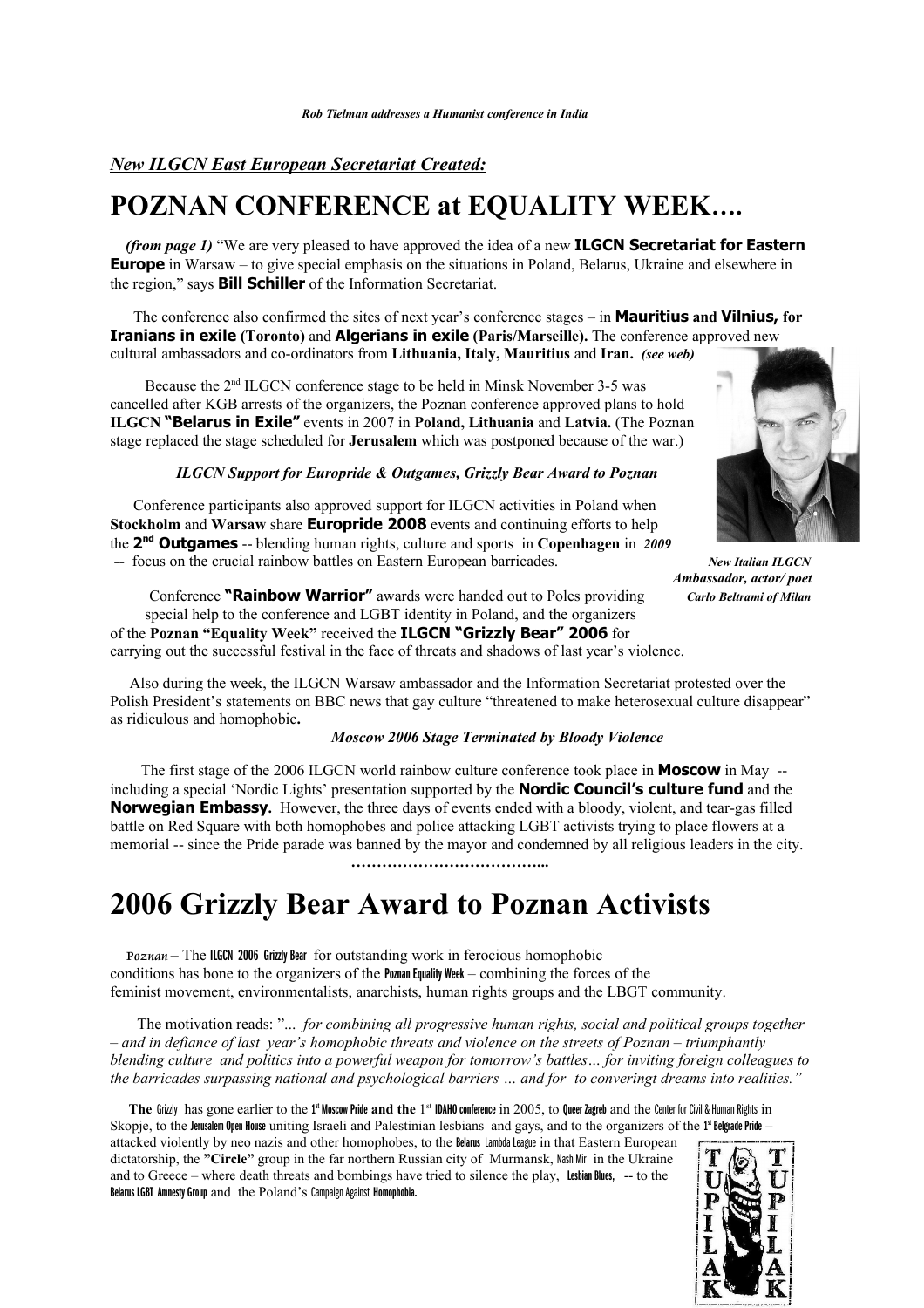### *New ILGCN East European Secretariat Created:*

### **POZNAN CONFERENCE at EQUALITY WEEK….**

 *(from page 1)* "We are very pleased to have approved the idea of a new **ILGCN Secretariat for Eastern Europe** in Warsaw – to give special emphasis on the situations in Poland, Belarus, Ukraine and elsewhere in the region," says **Bill Schiller** of the Information Secretariat.

The conference also confirmed the sites of next year's conference stages – in **Mauritius and Vilnius, for Iranians in exile (Toronto)** and **Algerians in exile (Paris/Marseille).** The conference approved new cultural ambassadors and co-ordinators from **Lithuania, Italy, Mauritius** and **Iran.** *(see web)*

 Because the 2nd ILGCN conference stage to be held in Minsk November 3-5 was cancelled after KGB arrests of the organizers, the Poznan conference approved plans to hold **ILGCN "Belarus in Exile"** events in 2007 in **Poland, Lithuania** and **Latvia.** (The Poznan stage replaced the stage scheduled for **Jerusalem** which was postponed because of the war.)

#### *ILGCN Support for Europride & Outgames, Grizzly Bear Award to Poznan*



 *Ambassador, actor/ poet*

Conference participants also approved support for ILGCN activities in Poland when **Stockholm** and **Warsaw** share **Europride 2008** events and continuing efforts to help the **2 nd Outgames** -- blending human rights, culture and sports in **Copenhagen** in *2009*  **--** focus on the crucial rainbow battles on Eastern European barricades. *New Italian ILGCN*

Conference **"Rainbow Warrior"** awards were handed out to Poles providing *Carlo Beltrami of Milan* special help to the conference and LGBT identity in Poland, and the organizers of the **Poznan "Equality Week"** received the **ILGCN "Grizzly Bear" 2006** for carrying out the successful festival in the face of threats and shadows of last year's violence.

 Also during the week, the ILGCN Warsaw ambassador and the Information Secretariat protested over the Polish President's statements on BBC news that gay culture "threatened to make heterosexual culture disappear" as ridiculous and homophobic**.** 

#### *Moscow 2006 Stage Terminated by Bloody Violence*

The first stage of the 2006 ILGCN world rainbow culture conference took place in **Moscow** in May - including a special 'Nordic Lights' presentation supported by the **Nordic Council's culture fund** and the **Norwegian Embassy.** However, the three days of events ended with a bloody, violent, and tear-gas filled battle on Red Square with both homophobes and police attacking LGBT activists trying to place flowers at a memorial -- since the Pride parade was banned by the mayor and condemned by all religious leaders in the city.

 **………………………………...**

## **2006 Grizzly Bear Award to Poznan Activists**

Poznan – The ILGCN 2006 Grizzly Bear for outstanding work in ferocious homophobic conditions has bone to the organizers of the **Poznan Equality Week** – combining the forces of the feminist movement, environmentalists, anarchists, human rights groups and the LBGT community.

 The motivation reads: "... *for combining all progressive human rights, social and political groups together – and in defiance of last year's homophobic threats and violence on the streets of Poznan – triumphantly blending culture and politics into a powerful weapon for tomorrow's battles… for inviting foreign colleagues to the barricades surpassing national and psychological barriers … and for to converingt dreams into realities."* 

The Grizzly has gone earlier to the 1<sup>st</sup> Moscow Pride and the 1<sup>st</sup> IDAHO conference in 2005, to Queer Zagreb and the Center for Civil & Human Rights in Skopje, to the Jerusalem Open House uniting Israeli and Palestinian lesbians and gays, and to the organizers of the 1<sup>st</sup> Belgrade Pride -

attacked violently by neo nazis and other homophobes, to the Belarus Lambda League in that Eastern European dictatorship, the **"Circle"** group in the far northern Russian city of Murmansk, Nash Mir in the Ukraine and to Greece – where death threats and bombings have tried to silence the play, Lesbian Blues, -- to the Belarus LGBT Amnesty Group and the Poland's Campaign Against Homophobia.

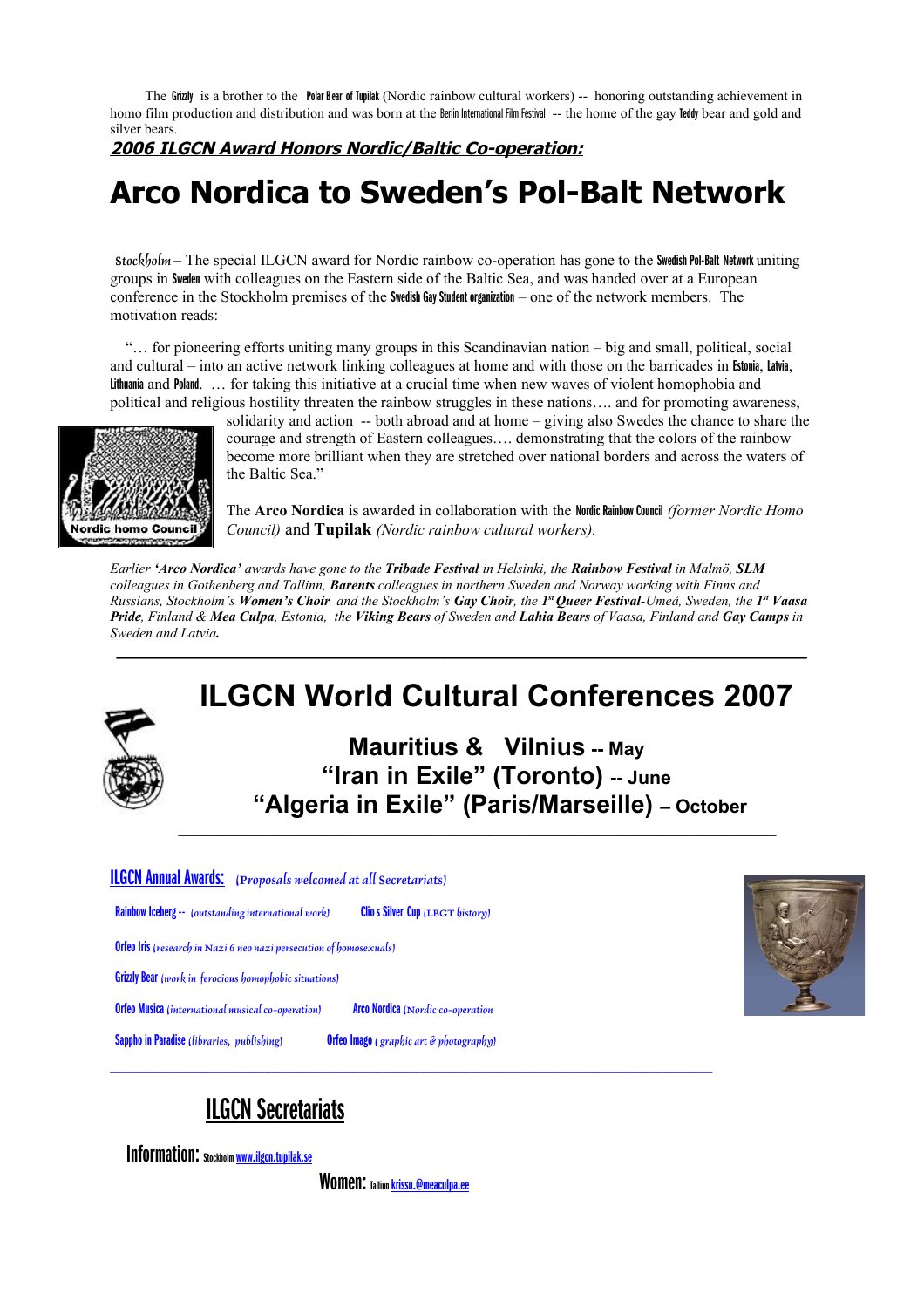The Grizzly is a brother to the Polar Bear of Tupilak (Nordic rainbow cultural workers) -- honoring outstanding achievement in homo film production and distribution and was born at the Berlin International Film Festival -- the home of the gay Teddy bear and gold and silver bears.

**2006 ILGCN Award Honors Nordic/Baltic Co-operation:**

# **Arco Nordica to Sweden's Pol-Balt Network**

 *Stockholm***–** The special ILGCN award for Nordic rainbow co-operation has gone to the Swedish Pol-Balt Network uniting groups in Sweden with colleagues on the Eastern side of the Baltic Sea, and was handed over at a European conference in the Stockholm premises of the Swedish Gay Student organization – one of the network members. The motivation reads:

 "… for pioneering efforts uniting many groups in this Scandinavian nation – big and small, political, social and cultural – into an active network linking colleagues at home and with those on the barricades in Estonia, Latvia, Lithuania and Poland. … for taking this initiative at a crucial time when new waves of violent homophobia and political and religious hostility threaten the rainbow struggles in these nations…. and for promoting awareness,



solidarity and action -- both abroad and at home – giving also Swedes the chance to share the courage and strength of Eastern colleagues…. demonstrating that the colors of the rainbow become more brilliant when they are stretched over national borders and across the waters of the Baltic Sea."

The **Arco Nordica** is awarded in collaboration with the Nordic Rainbow Council *(former Nordic Homo Council)* and **Tupilak** *(Nordic rainbow cultural workers).*

*Earlier 'Arco Nordica' awards have gone to the Tribade Festival in Helsinki, the Rainbow Festival in Malmö, SLM colleagues in Gothenberg and Tallinn, Barents colleagues in northern Sweden and Norway working with Finns and Russians, Stockholm's Women's Choir and the Stockholm's Gay Choir, the 1 st Queer Festival-Umeå, Sweden, the 1 st Vaasa Pride, Finland & Mea Culpa, Estonia, the Viking Bears of Sweden and Lahia Bears of Vaasa, Finland and Gay Camps in Sweden and Latvia.*

*\_\_\_\_\_\_\_\_\_\_\_\_\_\_\_\_\_\_\_\_\_\_\_\_\_\_\_\_\_\_\_\_\_\_\_\_\_\_\_\_\_\_\_\_\_\_\_\_\_\_\_\_\_\_\_\_\_\_\_\_\_\_\_\_\_\_\_\_\_\_\_\_\_\_\_\_\_\_\_\_*

## **ILGCN World Cultural Conferences 2007**

**Mauritius & Vilnius -- May "Iran in Exile" (Toronto) -- June "Algeria in Exile" (Paris/Marseille) – October**

#### ILGCN Annual Awards: *(Proposals welcomed at all Secretariats)*

Rainbow Iceberg -- *(outstanding international work)* Clios Silver Cup *(LBGT history)*

Orfeo Iris *(research in Nazi 6 neo nazi persecution of homosexuals)*

Grizzly Bear *(work in ferocious homophobic situations)* 

Orfeo Musica *(international musical co-operation)* Arco Nordica *(Nordicco-operation*

*\_\_\_\_\_\_\_\_\_\_\_\_\_\_\_\_\_\_\_\_\_\_\_\_\_\_\_\_\_\_\_\_\_\_\_\_\_\_\_\_\_\_\_\_\_\_\_\_\_\_\_\_\_\_\_\_\_\_\_\_\_\_\_\_\_\_\_\_\_\_\_\_\_\_\_\_\_\_\_\_\_\_\_\_\_\_\_\_\_\_\_\_\_\_\_\_\_* 

Sappho in Paradise *(libraries, publishing)* **Orfeo Imago** (*graphic art & photography*)



### ILGCN Secretariats

Information: Stockholm [www.ilgcn.tupilak.se](http://www.ilgcn.tupilak.se/)

Women: Tallinn [krissu.@meaculpa.ee](mailto:krissu.@meaculpa.ee)